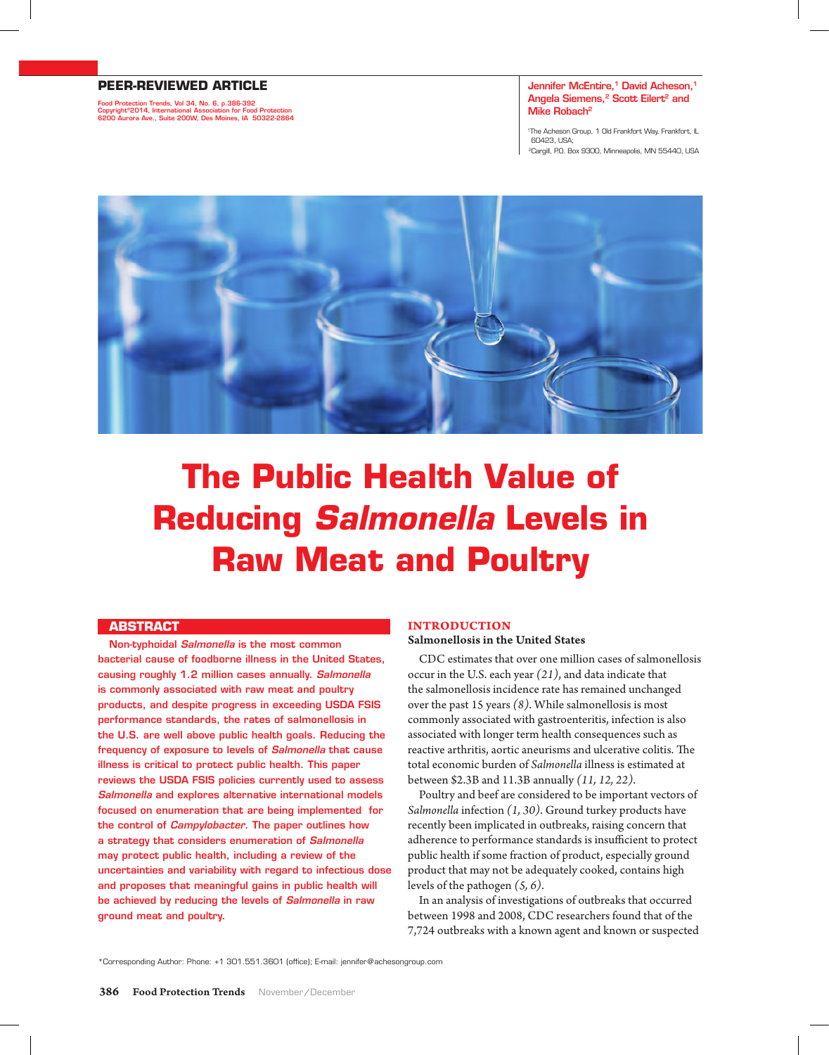## **PEER-REVIEWED ARTICLE**

Food Protection Trends, Vol 34, No. 6, p.386-392 Copyright©2014, International Association for Food Protection 6200 Aurora Ave., Suite 200W, Des Moines, IA 50322-2864

### Jennifer McEntire.<sup>1</sup> David Acheson.<sup>1</sup> Angela Siemens,<sup>2</sup> Scott Eilert<sup>2</sup> and Mike Robach2

1The Acheson Group, 1 Old Frankfort Way, Frankfort, IL 60423, USA; 2Cargill, P.O. Box 9300, Minneapolis, MN 55440, USA



# **The Public Health Value of Reducing** *Salmonella* **Levels in Raw Meat and Poultry**

# **ABSTRACT**

Non-typhoidal *Salmonella* is the most common bacterial cause of foodborne illness in the United States, causing roughly 1.2 million cases annually. *Salmonella*  is commonly associated with raw meat and poultry products, and despite progress in exceeding USDA FSIS performance standards, the rates of salmonellosis in the U.S. are well above public health goals. Reducing the frequency of exposure to levels of *Salmonella* that cause illness is critical to protect public health. This paper reviews the USDA FSIS policies currently used to assess *Salmonella* and explores alternative international models focused on enumeration that are being implemented for the control of *Campylobacter*. The paper outlines how a strategy that considers enumeration of *Salmonella* may protect public health, including a review of the uncertainties and variability with regard to infectious dose and proposes that meaningful gains in public health will be achieved by reducing the levels of *Salmonella* in raw ground meat and poultry.

# **Introduction**

#### Salmonellosis in the United States

CDC estimates that over one million cases of salmonellosis occur in the U.S. each year *(21)*, and data indicate that the salmonellosis incidence rate has remained unchanged over the past 15 years *(8)*. While salmonellosis is most commonly associated with gastroenteritis, infection is also associated with longer term health consequences such as reactive arthritis, aortic aneurisms and ulcerative colitis. The total economic burden of *Salmonella* illness is estimated at between \$2.3B and 11.3B annually *(11, 12, 22)*.

Poultry and beef are considered to be important vectors of *Salmonella* infection *(1, 30)*. Ground turkey products have recently been implicated in outbreaks, raising concern that adherence to performance standards is insufficient to protect public health if some fraction of product, especially ground product that may not be adequately cooked, contains high levels of the pathogen *(5, 6)*.

In an analysis of investigations of outbreaks that occurred between 1998 and 2008, CDC researchers found that of the 7,724 outbreaks with a known agent and known or suspected

\*Corresponding Author: Phone: +1 301.551.3601 (office); E-mail: jennifer@achesongroup.com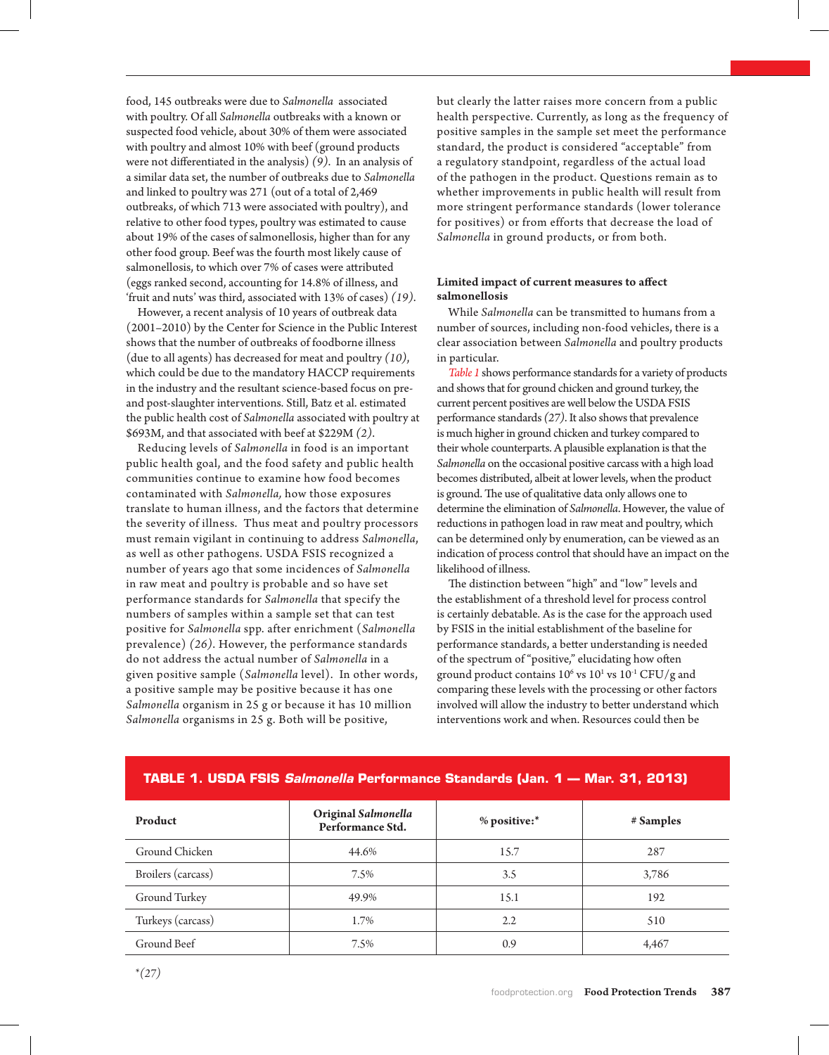food, 145 outbreaks were due to *Salmonella* associated with poultry. Of all *Salmonella* outbreaks with a known or suspected food vehicle, about 30% of them were associated with poultry and almost 10% with beef (ground products were not differentiated in the analysis) *(9)*. In an analysis of a similar data set, the number of outbreaks due to *Salmonella*  and linked to poultry was 271 (out of a total of 2,469 outbreaks, of which 713 were associated with poultry), and relative to other food types, poultry was estimated to cause about 19% of the cases of salmonellosis, higher than for any other food group. Beef was the fourth most likely cause of salmonellosis, to which over 7% of cases were attributed (eggs ranked second, accounting for 14.8% of illness, and 'fruit and nuts' was third, associated with 13% of cases) *(19)*.

However, a recent analysis of 10 years of outbreak data (2001–2010) by the Center for Science in the Public Interest shows that the number of outbreaks of foodborne illness (due to all agents) has decreased for meat and poultry *(10)*, which could be due to the mandatory HACCP requirements in the industry and the resultant science-based focus on preand post-slaughter interventions. Still, Batz et al. estimated the public health cost of *Salmonella* associated with poultry at \$693M, and that associated with beef at \$229M *(2)*.

Reducing levels of *Salmonella* in food is an important public health goal, and the food safety and public health communities continue to examine how food becomes contaminated with *Salmonella,* how those exposures translate to human illness, and the factors that determine the severity of illness. Thus meat and poultry processors must remain vigilant in continuing to address *Salmonella*, as well as other pathogens. USDA FSIS recognized a number of years ago that some incidences of *Salmonella* in raw meat and poultry is probable and so have set performance standards for *Salmonella* that specify the numbers of samples within a sample set that can test positive for *Salmonella* spp. after enrichment (*Salmonella* prevalence) *(26)*. However, the performance standards do not address the actual number of *Salmonella* in a given positive sample (*Salmonella* level). In other words, a positive sample may be positive because it has one *Salmonella* organism in 25 g or because it has 10 million *Salmonella* organisms in 25 g. Both will be positive,

but clearly the latter raises more concern from a public health perspective. Currently, as long as the frequency of positive samples in the sample set meet the performance standard, the product is considered "acceptable" from a regulatory standpoint, regardless of the actual load of the pathogen in the product. Questions remain as to whether improvements in public health will result from more stringent performance standards (lower tolerance for positives) or from efforts that decrease the load of *Salmonella* in ground products, or from both.

# Limited impact of current measures to affect salmonellosis

While *Salmonella* can be transmitted to humans from a number of sources, including non-food vehicles, there is a clear association between *Salmonella* and poultry products in particular.

*Table 1* shows performance standards for a variety of products and shows that for ground chicken and ground turkey, the current percent positives are well below the USDA FSIS performance standards *(27)*. It also shows that prevalence is much higher in ground chicken and turkey compared to their whole counterparts. A plausible explanation is that the *Salmonella* on the occasional positive carcass with a high load becomes distributed, albeit at lower levels, when the product is ground. The use of qualitative data only allows one to determine the elimination of *Salmonella*. However, the value of reductions in pathogen load in raw meat and poultry, which can be determined only by enumeration, can be viewed as an indication of process control that should have an impact on the likelihood of illness.

The distinction between "high" and "low" levels and the establishment of a threshold level for process control is certainly debatable. As is the case for the approach used by FSIS in the initial establishment of the baseline for performance standards, a better understanding is needed of the spectrum of "positive," elucidating how often ground product contains  $10^6$  vs  $10^1$  vs  $10^{-1}$  CFU/g and comparing these levels with the processing or other factors involved will allow the industry to better understand which interventions work and when. Resources could then be

| Product            | Original Salmonella<br>Performance Std. | % positive:*     | # Samples |
|--------------------|-----------------------------------------|------------------|-----------|
| Ground Chicken     | 44.6%                                   | 15.7             | 287       |
| Broilers (carcass) | 7.5%                                    | 3.5              | 3,786     |
| Ground Turkey      | 49.9%                                   | 15.1             | 192       |
| Turkeys (carcass)  | 1.7%                                    | $2.2\phantom{0}$ | 510       |
| Ground Beef        | 7.5%                                    | 0.9              | 4,467     |

# **TABLE 1. USDA FSIS** *Salmonella* **Performance Standards (Jan. 1 –– Mar. 31, 2013)**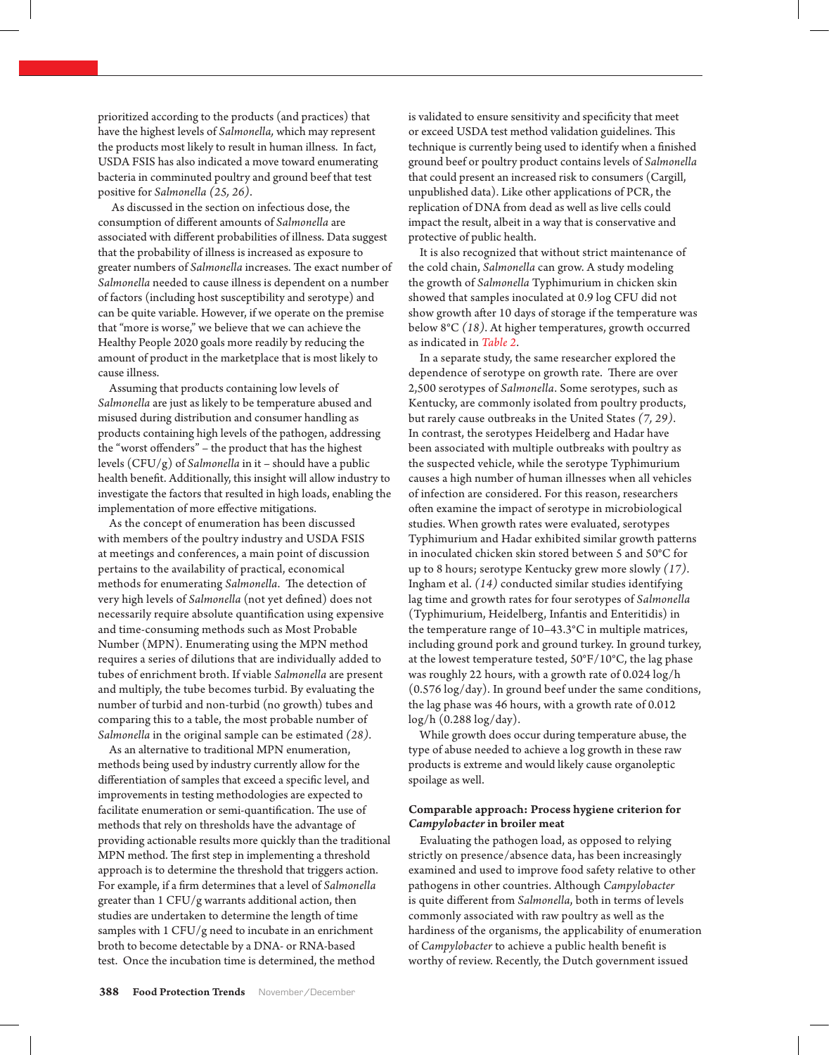prioritized according to the products (and practices) that have the highest levels of *Salmonella,* which may represent the products most likely to result in human illness. In fact, USDA FSIS has also indicated a move toward enumerating bacteria in comminuted poultry and ground beef that test positive for *Salmonella (25, 26)*.

 As discussed in the section on infectious dose, the consumption of different amounts of *Salmonella* are associated with different probabilities of illness. Data suggest that the probability of illness is increased as exposure to greater numbers of *Salmonella* increases. The exact number of *Salmonella* needed to cause illness is dependent on a number of factors (including host susceptibility and serotype) and can be quite variable. However, if we operate on the premise that "more is worse," we believe that we can achieve the Healthy People 2020 goals more readily by reducing the amount of product in the marketplace that is most likely to cause illness.

Assuming that products containing low levels of *Salmonella* are just as likely to be temperature abused and misused during distribution and consumer handling as products containing high levels of the pathogen, addressing the "worst offenders" – the product that has the highest levels (CFU/g) of *Salmonella* in it – should have a public health benefit. Additionally, this insight will allow industry to investigate the factors that resulted in high loads, enabling the implementation of more effective mitigations.

As the concept of enumeration has been discussed with members of the poultry industry and USDA FSIS at meetings and conferences, a main point of discussion pertains to the availability of practical, economical methods for enumerating *Salmonella*. The detection of very high levels of *Salmonella* (not yet defined) does not necessarily require absolute quantification using expensive and time-consuming methods such as Most Probable Number (MPN). Enumerating using the MPN method requires a series of dilutions that are individually added to tubes of enrichment broth. If viable *Salmonella* are present and multiply, the tube becomes turbid. By evaluating the number of turbid and non-turbid (no growth) tubes and comparing this to a table, the most probable number of *Salmonella* in the original sample can be estimated *(28)*.

As an alternative to traditional MPN enumeration, methods being used by industry currently allow for the differentiation of samples that exceed a specific level, and improvements in testing methodologies are expected to facilitate enumeration or semi-quantification. The use of methods that rely on thresholds have the advantage of providing actionable results more quickly than the traditional MPN method. The first step in implementing a threshold approach is to determine the threshold that triggers action. For example, if a firm determines that a level of *Salmonella* greater than 1 CFU/g warrants additional action, then studies are undertaken to determine the length of time samples with 1 CFU/g need to incubate in an enrichment broth to become detectable by a DNA- or RNA-based test. Once the incubation time is determined, the method

is validated to ensure sensitivity and specificity that meet or exceed USDA test method validation guidelines. This technique is currently being used to identify when a finished ground beef or poultry product contains levels of *Salmonella* that could present an increased risk to consumers (Cargill, unpublished data). Like other applications of PCR, the replication of DNA from dead as well as live cells could impact the result, albeit in a way that is conservative and protective of public health.

It is also recognized that without strict maintenance of the cold chain, *Salmonella* can grow. A study modeling the growth of *Salmonella* Typhimurium in chicken skin showed that samples inoculated at 0.9 log CFU did not show growth after 10 days of storage if the temperature was below 8°C *(18)*. At higher temperatures, growth occurred as indicated in *Table 2*.

In a separate study, the same researcher explored the dependence of serotype on growth rate. There are over 2,500 serotypes of *Salmonella*. Some serotypes, such as Kentucky, are commonly isolated from poultry products, but rarely cause outbreaks in the United States *(7, 29)*. In contrast, the serotypes Heidelberg and Hadar have been associated with multiple outbreaks with poultry as the suspected vehicle, while the serotype Typhimurium causes a high number of human illnesses when all vehicles of infection are considered. For this reason, researchers often examine the impact of serotype in microbiological studies. When growth rates were evaluated, serotypes Typhimurium and Hadar exhibited similar growth patterns in inoculated chicken skin stored between 5 and 50°C for up to 8 hours; serotype Kentucky grew more slowly *(17)*. Ingham et al. *(14)* conducted similar studies identifying lag time and growth rates for four serotypes of *Salmonella*  (Typhimurium, Heidelberg, Infantis and Enteritidis) in the temperature range of 10–43.3°C in multiple matrices, including ground pork and ground turkey. In ground turkey, at the lowest temperature tested, 50°F/10°C, the lag phase was roughly 22 hours, with a growth rate of 0.024 log/h (0.576 log/day). In ground beef under the same conditions, the lag phase was 46 hours, with a growth rate of 0.012 log/h (0.288 log/day).

While growth does occur during temperature abuse, the type of abuse needed to achieve a log growth in these raw products is extreme and would likely cause organoleptic spoilage as well.

# Comparable approach: Process hygiene criterion for *Campylobacter* in broiler meat

Evaluating the pathogen load, as opposed to relying strictly on presence/absence data, has been increasingly examined and used to improve food safety relative to other pathogens in other countries. Although *Campylobacter*  is quite different from *Salmonella*, both in terms of levels commonly associated with raw poultry as well as the hardiness of the organisms, the applicability of enumeration of *Campylobacter* to achieve a public health benefit is worthy of review. Recently, the Dutch government issued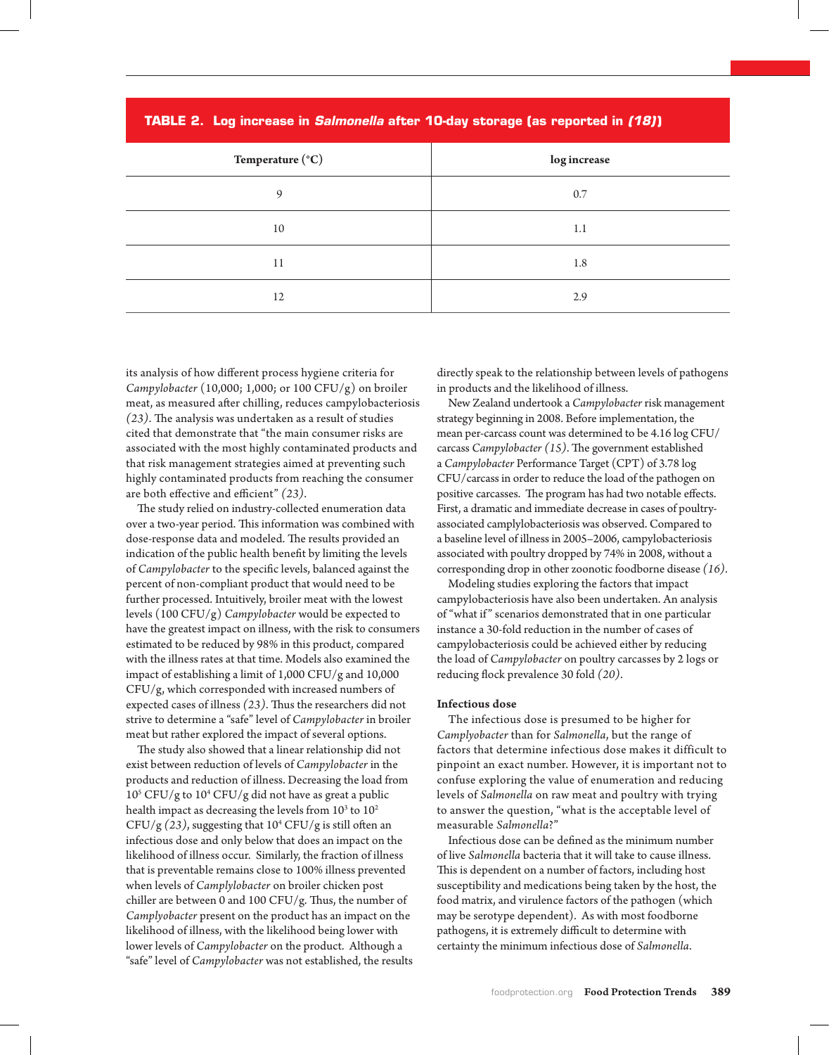|  |  | TABLE 2. Log increase in Salmonella after 10-day storage (as reported in (18)) |
|--|--|--------------------------------------------------------------------------------|
|  |  |                                                                                |

| Temperature $(°C)$ | log increase |  |
|--------------------|--------------|--|
| 9                  | 0.7          |  |
| 10                 | 1.1          |  |
| 11                 | 1.8          |  |
| 12                 | 2.9          |  |

its analysis of how different process hygiene criteria for *Campylobacter* (10,000; 1,000; or 100 CFU/g) on broiler meat, as measured after chilling, reduces campylobacteriosis *(23)*. The analysis was undertaken as a result of studies cited that demonstrate that "the main consumer risks are associated with the most highly contaminated products and that risk management strategies aimed at preventing such highly contaminated products from reaching the consumer are both effective and efficient" *(23)*.

The study relied on industry-collected enumeration data over a two-year period. This information was combined with dose-response data and modeled. The results provided an indication of the public health benefit by limiting the levels of *Campylobacter* to the specific levels, balanced against the percent of non-compliant product that would need to be further processed. Intuitively, broiler meat with the lowest levels (100 CFU/g) *Campylobacter* would be expected to have the greatest impact on illness, with the risk to consumers estimated to be reduced by 98% in this product, compared with the illness rates at that time. Models also examined the impact of establishing a limit of 1,000 CFU/g and 10,000 CFU/g, which corresponded with increased numbers of expected cases of illness *(23)*. Thus the researchers did not strive to determine a "safe" level of *Campylobacter* in broiler meat but rather explored the impact of several options.

The study also showed that a linear relationship did not exist between reduction of levels of *Campylobacter* in the products and reduction of illness. Decreasing the load from 105 CFU/g to 104 CFU/g did not have as great a public health impact as decreasing the levels from  $10^3$  to  $10^2$ CFU/g  $(23)$ , suggesting that  $10^4$  CFU/g is still often an infectious dose and only below that does an impact on the likelihood of illness occur. Similarly, the fraction of illness that is preventable remains close to 100% illness prevented when levels of *Camplylobacter* on broiler chicken post chiller are between 0 and 100 CFU/g. Thus, the number of *Camplyobacter* present on the product has an impact on the likelihood of illness, with the likelihood being lower with lower levels of *Campylobacter* on the product. Although a "safe" level of *Campylobacter* was not established, the results

directly speak to the relationship between levels of pathogens in products and the likelihood of illness.

New Zealand undertook a *Campylobacter* risk management strategy beginning in 2008. Before implementation, the mean per-carcass count was determined to be 4.16 log CFU/ carcass *Campylobacter (15)*. The government established a *Campylobacter* Performance Target (CPT) of 3.78 log CFU/carcass in order to reduce the load of the pathogen on positive carcasses. The program has had two notable effects. First, a dramatic and immediate decrease in cases of poultryassociated camplylobacteriosis was observed. Compared to a baseline level of illness in 2005–2006, campylobacteriosis associated with poultry dropped by 74% in 2008, without a corresponding drop in other zoonotic foodborne disease *(16)*.

Modeling studies exploring the factors that impact campylobacteriosis have also been undertaken. An analysis of "what if " scenarios demonstrated that in one particular instance a 30-fold reduction in the number of cases of campylobacteriosis could be achieved either by reducing the load of *Campylobacter* on poultry carcasses by 2 logs or reducing flock prevalence 30 fold *(20)*.

## Infectious dose

The infectious dose is presumed to be higher for *Camplyobacter* than for *Salmonella*, but the range of factors that determine infectious dose makes it difficult to pinpoint an exact number. However, it is important not to confuse exploring the value of enumeration and reducing levels of *Salmonella* on raw meat and poultry with trying to answer the question, "what is the acceptable level of measurable *Salmonella*?"

Infectious dose can be defined as the minimum number of live *Salmonella* bacteria that it will take to cause illness. This is dependent on a number of factors, including host susceptibility and medications being taken by the host, the food matrix, and virulence factors of the pathogen (which may be serotype dependent). As with most foodborne pathogens, it is extremely difficult to determine with certainty the minimum infectious dose of *Salmonella*.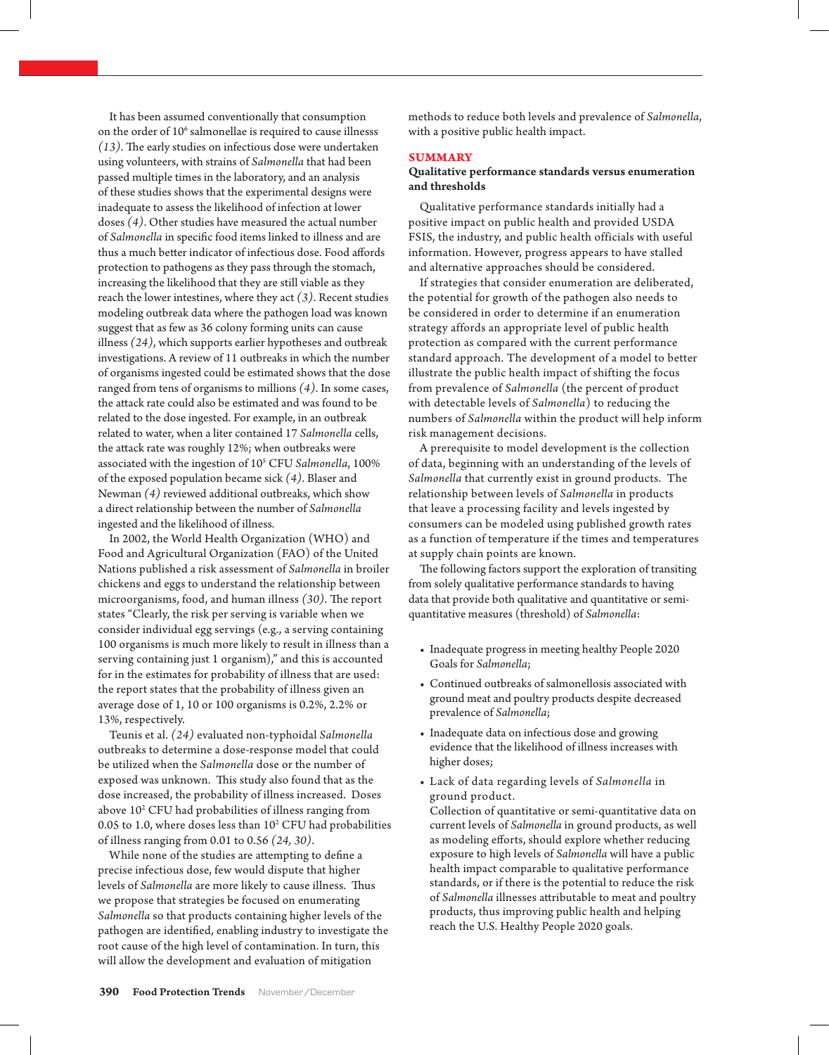It has been assumed conventionally that consumption on the order of  $10<sup>6</sup>$  salmonellae is required to cause illnesss *(13)*. The early studies on infectious dose were undertaken using volunteers, with strains of *Salmonella* that had been passed multiple times in the laboratory, and an analysis of these studies shows that the experimental designs were inadequate to assess the likelihood of infection at lower doses *(4)*. Other studies have measured the actual number of *Salmonella* in specific food items linked to illness and are thus a much better indicator of infectious dose. Food affords protection to pathogens as they pass through the stomach, increasing the likelihood that they are still viable as they reach the lower intestines, where they act *(3)*. Recent studies modeling outbreak data where the pathogen load was known suggest that as few as 36 colony forming units can cause illness *(24)*, which supports earlier hypotheses and outbreak investigations. A review of 11 outbreaks in which the number of organisms ingested could be estimated shows that the dose ranged from tens of organisms to millions *(4)*. In some cases, the attack rate could also be estimated and was found to be related to the dose ingested. For example, in an outbreak related to water, when a liter contained 17 *Salmonella* cells, the attack rate was roughly 12%; when outbreaks were associated with the ingestion of 105 CFU *Salmonella*, 100% of the exposed population became sick *(4)*. Blaser and Newman *(4)* reviewed additional outbreaks, which show a direct relationship between the number of *Salmonella*  ingested and the likelihood of illness.

In 2002, the World Health Organization (WHO) and Food and Agricultural Organization (FAO) of the United Nations published a risk assessment of *Salmonella* in broiler chickens and eggs to understand the relationship between microorganisms, food, and human illness *(30)*. The report states "Clearly, the risk per serving is variable when we consider individual egg servings (e.g., a serving containing 100 organisms is much more likely to result in illness than a serving containing just 1 organism)," and this is accounted for in the estimates for probability of illness that are used: the report states that the probability of illness given an average dose of 1, 10 or 100 organisms is 0.2%, 2.2% or 13%, respectively.

Teunis et al. *(24)* evaluated non-typhoidal *Salmonella* outbreaks to determine a dose-response model that could be utilized when the *Salmonella* dose or the number of exposed was unknown. This study also found that as the dose increased, the probability of illness increased. Doses above 10<sup>2</sup> CFU had probabilities of illness ranging from 0.05 to 1.0, where doses less than  $10<sup>2</sup>$  CFU had probabilities of illness ranging from 0.01 to 0.56 *(24, 30)*.

While none of the studies are attempting to define a precise infectious dose, few would dispute that higher levels of *Salmonella* are more likely to cause illness. Thus we propose that strategies be focused on enumerating *Salmonella* so that products containing higher levels of the pathogen are identified, enabling industry to investigate the root cause of the high level of contamination. In turn, this will allow the development and evaluation of mitigation

methods to reduce both levels and prevalence of *Salmonella*, with a positive public health impact.

## **SUMMARY**

# Qualitative performance standards versus enumeration and thresholds

Qualitative performance standards initially had a positive impact on public health and provided USDA FSIS, the industry, and public health officials with useful information. However, progress appears to have stalled and alternative approaches should be considered.

If strategies that consider enumeration are deliberated, the potential for growth of the pathogen also needs to be considered in order to determine if an enumeration strategy affords an appropriate level of public health protection as compared with the current performance standard approach. The development of a model to better illustrate the public health impact of shifting the focus from prevalence of *Salmonella* (the percent of product with detectable levels of *Salmonella*) to reducing the numbers of *Salmonella* within the product will help inform risk management decisions.

A prerequisite to model development is the collection of data, beginning with an understanding of the levels of *Salmonella* that currently exist in ground products. The relationship between levels of *Salmonella* in products that leave a processing facility and levels ingested by consumers can be modeled using published growth rates as a function of temperature if the times and temperatures at supply chain points are known.

The following factors support the exploration of transiting from solely qualitative performance standards to having data that provide both qualitative and quantitative or semiquantitative measures (threshold) of *Salmonella*:

- • Inadequate progress in meeting healthy People 2020 Goals for *Salmonella*;
- • Continued outbreaks of salmonellosis associated with ground meat and poultry products despite decreased prevalence of *Salmonella*;
- • Inadequate data on infectious dose and growing evidence that the likelihood of illness increases with higher doses;
- • Lack of data regarding levels of *Salmonella* in ground product.

Collection of quantitative or semi-quantitative data on current levels of *Salmonella* in ground products, as well as modeling efforts, should explore whether reducing exposure to high levels of *Salmonella* will have a public health impact comparable to qualitative performance standards, or if there is the potential to reduce the risk of *Salmonella* illnesses attributable to meat and poultry products, thus improving public health and helping reach the U.S. Healthy People 2020 goals.